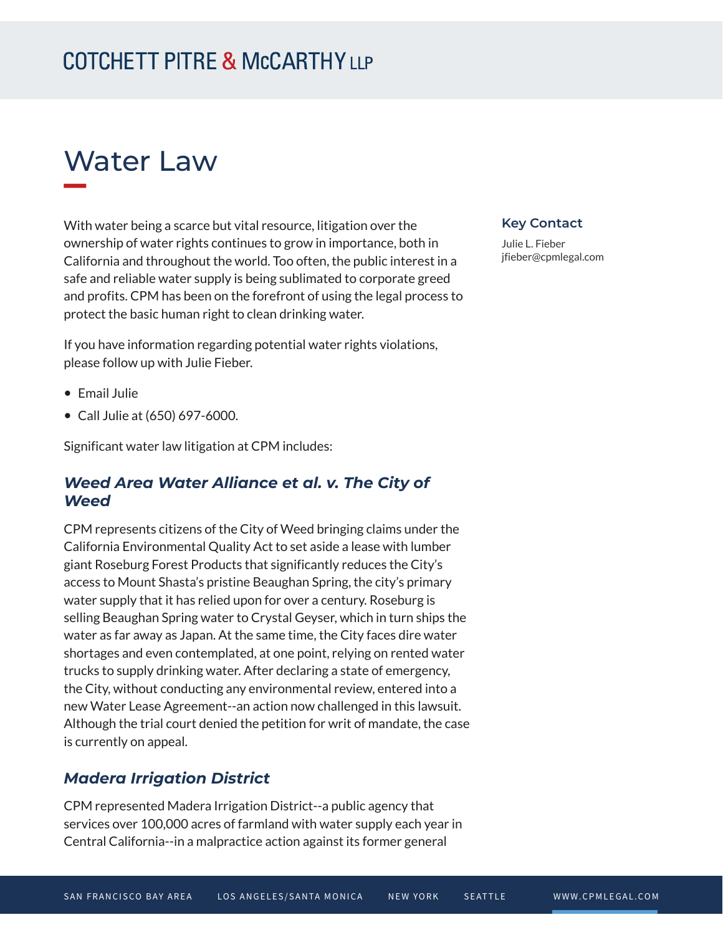# Water Law

With water being a scarce but vital resource, litigation over the ownership of water rights continues to grow in importance, both in California and throughout the world. Too often, the public interest in a safe and reliable water supply is being sublimated to corporate greed and profits. CPM has been on the forefront of using the legal process to protect the basic human right to clean drinking water.

If you have information regarding potential water rights violations, please follow up with Julie Fieber.

- Email Julie
- Call Julie at (650) 697-6000.

Significant water law litigation at CPM includes:

#### *Weed Area Water Alliance et al. v. The City of Weed*

CPM represents citizens of the City of Weed bringing claims under the California Environmental Quality Act to set aside a lease with lumber giant Roseburg Forest Products that significantly reduces the City's access to Mount Shasta's pristine Beaughan Spring, the city's primary water supply that it has relied upon for over a century. Roseburg is selling Beaughan Spring water to Crystal Geyser, which in turn ships the water as far away as Japan. At the same time, the City faces dire water shortages and even contemplated, at one point, relying on rented water trucks to supply drinking water. After declaring a state of emergency, the City, without conducting any environmental review, entered into a new Water Lease Agreement--an action now challenged in this lawsuit. Although the trial court denied the petition for writ of mandate, the case is currently on appeal.

#### *Madera Irrigation District*

CPM represented Madera Irrigation District--a public agency that services over 100,000 acres of farmland with water supply each year in Central California--in a malpractice action against its former general

#### **Key Contact**

Julie L. Fieber jfieber@cpmlegal.com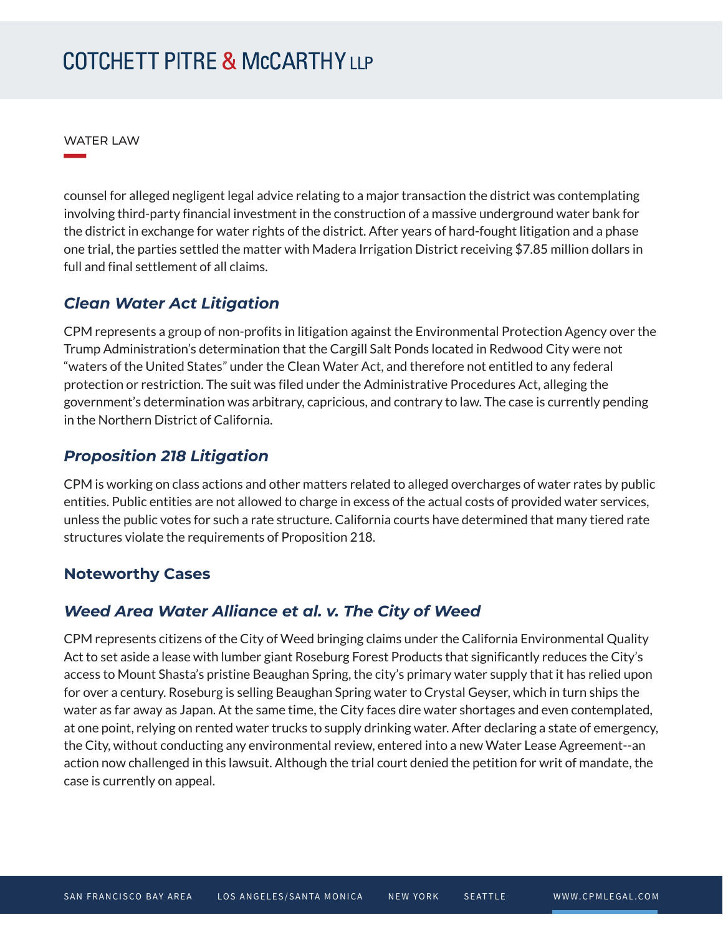WATER LAW

**William Company** 

counsel for alleged negligent legal advice relating to a major transaction the district was contemplating involving third-party financial investment in the construction of a massive underground water bank for the district in exchange for water rights of the district. After years of hard-fought litigation and a phase one trial, the parties settled the matter with Madera Irrigation District receiving \$7.85 million dollars in full and final settlement of all claims.

#### *Clean Water Act Litigation*

CPM represents a group of non-profits in litigation against the Environmental Protection Agency over the Trump Administration's determination that the Cargill Salt Ponds located in Redwood City were not "waters of the United States" under the Clean Water Act, and therefore not entitled to any federal protection or restriction. The suit was filed under the Administrative Procedures Act, alleging the government's determination was arbitrary, capricious, and contrary to law. The case is currently pending in the Northern District of California.

#### *Proposition 218 Litigation*

CPM is working on class actions and other matters related to alleged overcharges of water rates by public entities. Public entities are not allowed to charge in excess of the actual costs of provided water services, unless the public votes for such a rate structure. California courts have determined that many tiered rate structures violate the requirements of Proposition 218.

#### **Noteworthy Cases**

#### *Weed Area Water Alliance et al. v. The City of Weed*

CPM represents citizens of the City of Weed bringing claims under the California Environmental Quality Act to set aside a lease with lumber giant Roseburg Forest Products that significantly reduces the City's access to Mount Shasta's pristine Beaughan Spring, the city's primary water supply that it has relied upon for over a century. Roseburg is selling Beaughan Spring water to Crystal Geyser, which in turn ships the water as far away as Japan. At the same time, the City faces dire water shortages and even contemplated, at one point, relying on rented water trucks to supply drinking water. After declaring a state of emergency, the City, without conducting any environmental review, entered into a new Water Lease Agreement--an action now challenged in this lawsuit. Although the trial court denied the petition for writ of mandate, the case is currently on appeal.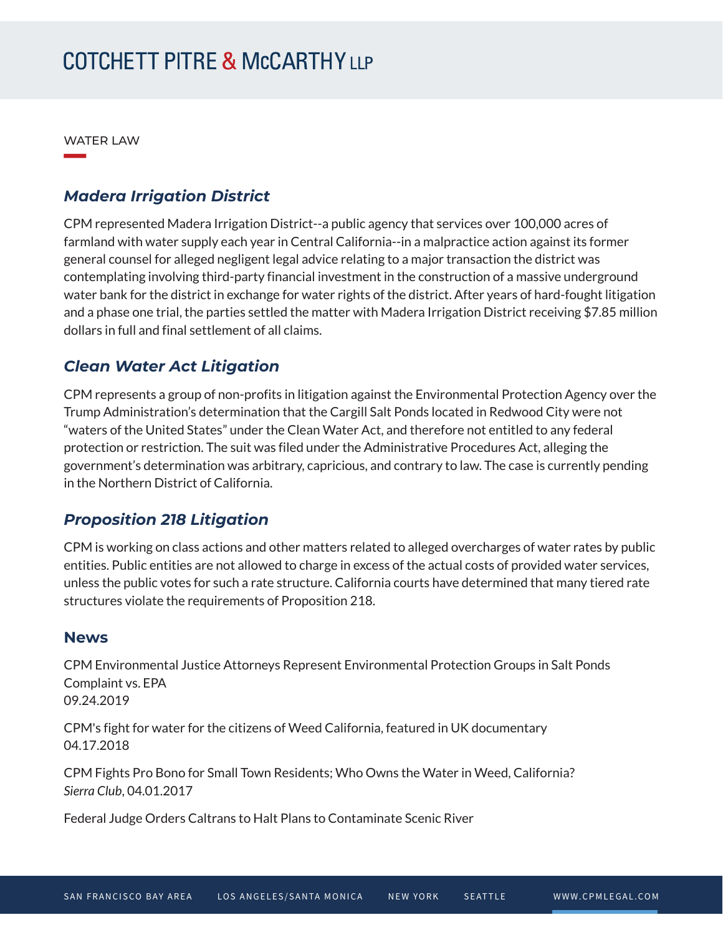WATER LAW

**William Company** 

#### *Madera Irrigation District*

CPM represented Madera Irrigation District--a public agency that services over 100,000 acres of farmland with water supply each year in Central California--in a malpractice action against its former general counsel for alleged negligent legal advice relating to a major transaction the district was contemplating involving third-party financial investment in the construction of a massive underground water bank for the district in exchange for water rights of the district. After years of hard-fought litigation and a phase one trial, the parties settled the matter with Madera Irrigation District receiving \$7.85 million dollars in full and final settlement of all claims.

### *Clean Water Act Litigation*

CPM represents a group of non-profits in litigation against the Environmental Protection Agency over the Trump Administration's determination that the Cargill Salt Ponds located in Redwood City were not "waters of the United States" under the Clean Water Act, and therefore not entitled to any federal protection or restriction. The suit was filed under the Administrative Procedures Act, alleging the government's determination was arbitrary, capricious, and contrary to law. The case is currently pending in the Northern District of California.

#### *Proposition 218 Litigation*

CPM is working on class actions and other matters related to alleged overcharges of water rates by public entities. Public entities are not allowed to charge in excess of the actual costs of provided water services, unless the public votes for such a rate structure. California courts have determined that many tiered rate structures violate the requirements of Proposition 218.

#### **News**

CPM Environmental Justice Attorneys Represent Environmental Protection Groups in Salt Ponds Complaint vs. EPA 09.24.2019

CPM's fight for water for the citizens of Weed California, featured in UK documentary 04.17.2018

CPM Fights Pro Bono for Small Town Residents; Who Owns the Water in Weed, California? *Sierra Club*, 04.01.2017

Federal Judge Orders Caltrans to Halt Plans to Contaminate Scenic River